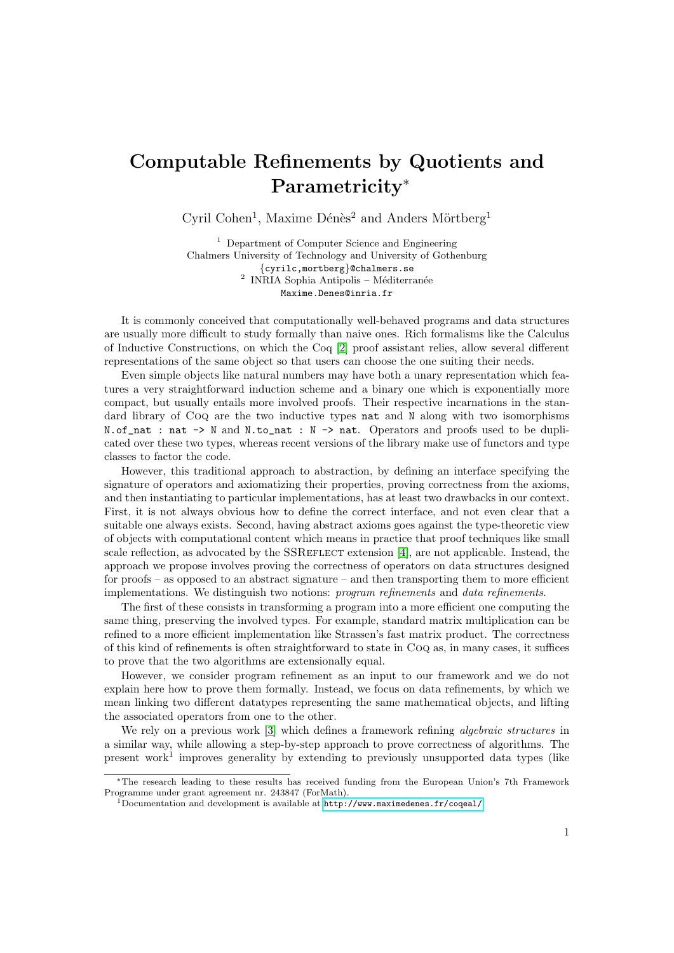## Computable Refinements by Quotients and Parametricity<sup>∗</sup>

Cyril Cohen<sup>1</sup>, Maxime Dénès<sup>2</sup> and Anders Mörtberg<sup>1</sup>

<sup>1</sup> Department of Computer Science and Engineering Chalmers University of Technology and University of Gothenburg {cyrilc,mortberg}@chalmers.se <sup>2</sup> INRIA Sophia Antipolis – Méditerranée Maxime.Denes@inria.fr

It is commonly conceived that computationally well-behaved programs and data structures are usually more difficult to study formally than naive ones. Rich formalisms like the Calculus of Inductive Constructions, on which the Coq [\[2\]](#page-1-0) proof assistant relies, allow several different representations of the same object so that users can choose the one suiting their needs.

Even simple objects like natural numbers may have both a unary representation which features a very straightforward induction scheme and a binary one which is exponentially more compact, but usually entails more involved proofs. Their respective incarnations in the standard library of Coq are the two inductive types nat and N along with two isomorphisms N.of\_nat : nat -> N and N.to\_nat : N -> nat. Operators and proofs used to be duplicated over these two types, whereas recent versions of the library make use of functors and type classes to factor the code.

However, this traditional approach to abstraction, by defining an interface specifying the signature of operators and axiomatizing their properties, proving correctness from the axioms, and then instantiating to particular implementations, has at least two drawbacks in our context. First, it is not always obvious how to define the correct interface, and not even clear that a suitable one always exists. Second, having abstract axioms goes against the type-theoretic view of objects with computational content which means in practice that proof techniques like small scale reflection, as advocated by the SSREFLECT extension [\[4\]](#page-1-1), are not applicable. Instead, the approach we propose involves proving the correctness of operators on data structures designed for proofs – as opposed to an abstract signature – and then transporting them to more efficient implementations. We distinguish two notions: program refinements and data refinements.

The first of these consists in transforming a program into a more efficient one computing the same thing, preserving the involved types. For example, standard matrix multiplication can be refined to a more efficient implementation like Strassen's fast matrix product. The correctness of this kind of refinements is often straightforward to state in Coq as, in many cases, it suffices to prove that the two algorithms are extensionally equal.

However, we consider program refinement as an input to our framework and we do not explain here how to prove them formally. Instead, we focus on data refinements, by which we mean linking two different datatypes representing the same mathematical objects, and lifting the associated operators from one to the other.

We rely on a previous work [\[3\]](#page-1-2) which defines a framework refining *algebraic structures* in a similar way, while allowing a step-by-step approach to prove correctness of algorithms. The present work<sup>1</sup> improves generality by extending to previously unsupported data types (like

<sup>∗</sup>The research leading to these results has received funding from the European Union's 7th Framework Programme under grant agreement nr. 243847 (ForMath).

<sup>&</sup>lt;sup>1</sup>Documentation and development is available at  $http://www.maximedenes.fr/coqeal/$